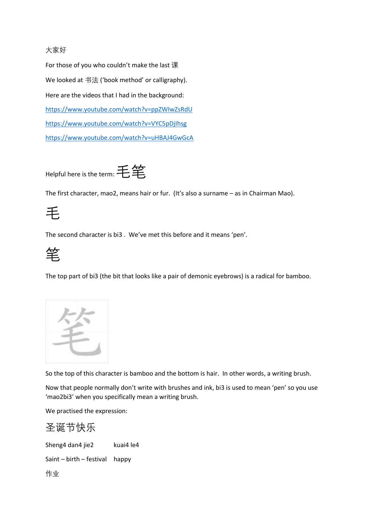## 大家好

For those of you who couldn't make the last 课 We looked at 书法 ('book method' or calligraphy). Here are the videos that I had in the background: <https://www.youtube.com/watch?v=ppZWIwZsRdU> <https://www.youtube.com/watch?v=VYC5pDjIhsg> <https://www.youtube.com/watch?v=uHBAJ4GwGcA>

Helpful here is the term: 毛竿

The first character, mao2, means hair or fur. (It's also a surname – as in Chairman Mao).

## 毛

The second character is bi3 . We've met this before and it means 'pen'.



The top part of bi3 (the bit that looks like a pair of demonic eyebrows) is a radical for bamboo.



So the top of this character is bamboo and the bottom is hair. In other words, a writing brush.

Now that people normally don't write with brushes and ink, bi3 is used to mean 'pen' so you use 'mao2bi3' when you specifically mean a writing brush.

We practised the expression:

## 圣诞节快乐

Sheng4 dan4 jie2 kuai4 le4

Saint – birth – festival happy

作业